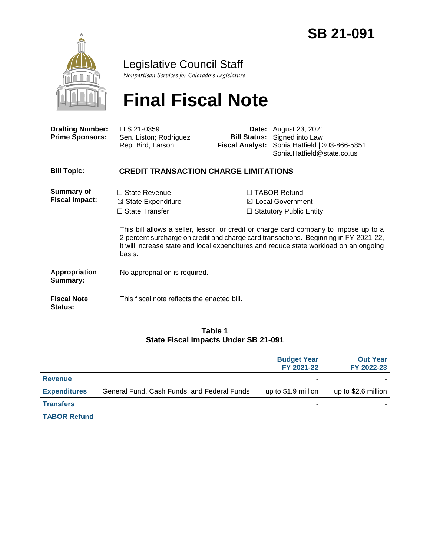

Legislative Council Staff

*Nonpartisan Services for Colorado's Legislature*

# **Final Fiscal Note**

| <b>Drafting Number:</b><br><b>Prime Sponsors:</b> | LLS 21-0359<br>Sen. Liston; Rodriguez<br>Rep. Bird; Larson                               |  | <b>Date:</b> August 23, 2021<br><b>Bill Status:</b> Signed into Law<br>Fiscal Analyst: Sonia Hatfield   303-866-5851<br>Sonia.Hatfield@state.co.us                                                                                                                                                                                                              |  |  |
|---------------------------------------------------|------------------------------------------------------------------------------------------|--|-----------------------------------------------------------------------------------------------------------------------------------------------------------------------------------------------------------------------------------------------------------------------------------------------------------------------------------------------------------------|--|--|
| <b>Bill Topic:</b>                                | <b>CREDIT TRANSACTION CHARGE LIMITATIONS</b>                                             |  |                                                                                                                                                                                                                                                                                                                                                                 |  |  |
| <b>Summary of</b><br><b>Fiscal Impact:</b>        | $\Box$ State Revenue<br>$\boxtimes$ State Expenditure<br>$\Box$ State Transfer<br>basis. |  | $\Box$ TABOR Refund<br>$\boxtimes$ Local Government<br>$\Box$ Statutory Public Entity<br>This bill allows a seller, lessor, or credit or charge card company to impose up to a<br>2 percent surcharge on credit and charge card transactions. Beginning in FY 2021-22,<br>it will increase state and local expenditures and reduce state workload on an ongoing |  |  |
| <b>Appropriation</b><br>Summary:                  | No appropriation is required.                                                            |  |                                                                                                                                                                                                                                                                                                                                                                 |  |  |
| <b>Fiscal Note</b><br><b>Status:</b>              | This fiscal note reflects the enacted bill.                                              |  |                                                                                                                                                                                                                                                                                                                                                                 |  |  |

#### **Table 1 State Fiscal Impacts Under SB 21-091**

|                     |                                             | <b>Budget Year</b><br>FY 2021-22 | <b>Out Year</b><br>FY 2022-23 |
|---------------------|---------------------------------------------|----------------------------------|-------------------------------|
| <b>Revenue</b>      |                                             | $\blacksquare$                   |                               |
| <b>Expenditures</b> | General Fund, Cash Funds, and Federal Funds | up to \$1.9 million              | up to \$2.6 million           |
| <b>Transfers</b>    |                                             | -                                |                               |
| <b>TABOR Refund</b> |                                             | -                                |                               |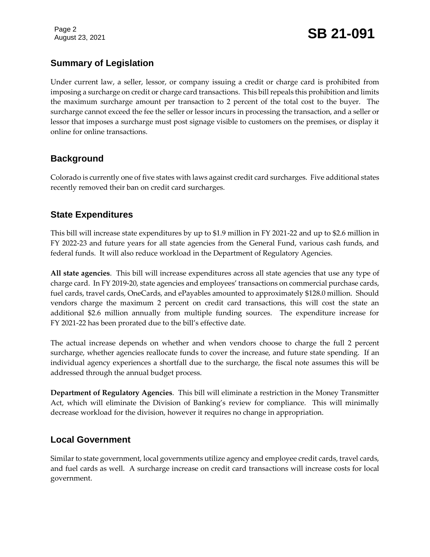## **Summary of Legislation**

Under current law, a seller, lessor, or company issuing a credit or charge card is prohibited from imposing a surcharge on credit or charge card transactions. This bill repeals this prohibition and limits the maximum surcharge amount per transaction to 2 percent of the total cost to the buyer. The surcharge cannot exceed the fee the seller or lessor incurs in processing the transaction, and a seller or lessor that imposes a surcharge must post signage visible to customers on the premises, or display it online for online transactions.

#### **Background**

Colorado is currently one of five states with laws against credit card surcharges. Five additional states recently removed their ban on credit card surcharges.

### **State Expenditures**

This bill will increase state expenditures by up to \$1.9 million in FY 2021-22 and up to \$2.6 million in FY 2022-23 and future years for all state agencies from the General Fund, various cash funds, and federal funds. It will also reduce workload in the Department of Regulatory Agencies.

**All state agencies**. This bill will increase expenditures across all state agencies that use any type of charge card. In FY 2019-20, state agencies and employees' transactions on commercial purchase cards, fuel cards, travel cards, OneCards, and ePayables amounted to approximately \$128.0 million. Should vendors charge the maximum 2 percent on credit card transactions, this will cost the state an additional \$2.6 million annually from multiple funding sources. The expenditure increase for FY 2021-22 has been prorated due to the bill's effective date.

The actual increase depends on whether and when vendors choose to charge the full 2 percent surcharge, whether agencies reallocate funds to cover the increase, and future state spending. If an individual agency experiences a shortfall due to the surcharge, the fiscal note assumes this will be addressed through the annual budget process.

**Department of Regulatory Agencies**. This bill will eliminate a restriction in the Money Transmitter Act, which will eliminate the Division of Banking's review for compliance. This will minimally decrease workload for the division, however it requires no change in appropriation.

### **Local Government**

Similar to state government, local governments utilize agency and employee credit cards, travel cards, and fuel cards as well. A surcharge increase on credit card transactions will increase costs for local government.